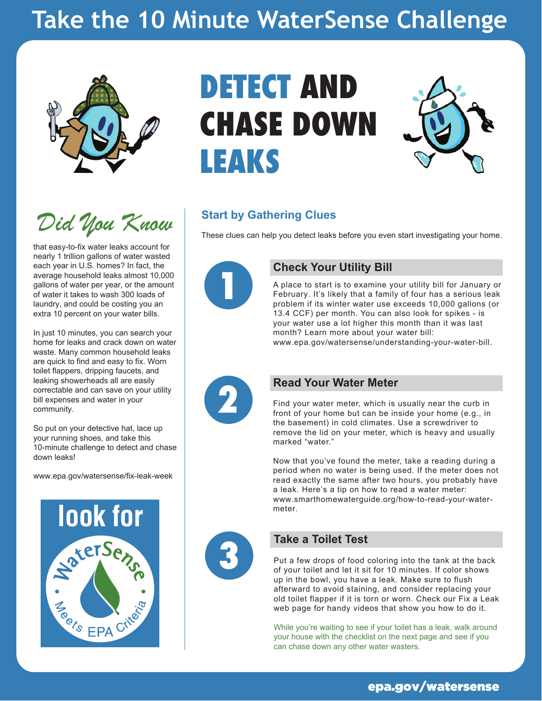# **Take the 10 Minute WaterSense Challenge**



*Did You Know*

that easy-to-fix water leaks account for nearly 1 trillion gallons of water wasted each year in U.S. homes? In fact, the average household leaks almost 10,000 gallons of water per year, or the amount of water it takes to wash 300 loads of laundry, and could be costing you an extra 10 percent on your water bills.

In just 10 minutes, you can search your home for leaks and crack down on water waste. Many common household leaks are quick to find and easy to fix. Worn toilet flappers, dripping faucets, and leaking showerheads all are easily correctable and can save on your utility bill expenses and water in your community.

So put on your detective hat, lace up your running shoes, and take this 10-minute challenge to detect and chase down leaks!

[www.epa.gov/watersense/fix-leak-week](https://www.epa.gov/watersense/fix-leak-week)



# **DETECT AND CHASE DOWN LEAKS**



### **Start by Gathering Clues**

These clues can help you detect leaks before you even start investigating your home.



#### **1 Check Your Utility Bill**

A place to start is to examine your utility bill for January or February. It's likely that a family of four has a serious leak problem if its winter water use exceeds 10,000 gallons (or 13.4 CCF) per month. You can also look for spikes - is your water use a lot higher this month than it was last month? Learn more about your water bill:

[www.epa.gov/watersense/understanding-your-water-bill](https://www.epa.gov/watersense/understanding-your-water-bill).



**Particular Read Your Water Meter**<br> **2 Find your water meter, which is u**<br> **front of your home but can be ins** Find your water meter, which is usually near the curb in front of your home but can be inside your home (e.g., in the basement) in cold climates. Use a screwdriver to remove the lid on your meter, which is heavy and usually marked "water."

> Now that you've found the meter, take a reading during a period when no water is being used. If the meter does not read exactly the same after two hours, you probably have a leak. Here's a tip on how to read a water meter: [www.smarthomewaterguide.org/how-to-read-your-water](http://www.smarthomewaterguide.org/how-to-read-your-water-meter)meter.



#### **3 Take a Toilet Test**

Put a few drops of food coloring into the tank at the back of your toilet and let it sit for 10 minutes. If color shows up in the bowl, you have a leak. Make sure to flush afterward to avoid staining, and consider replacing your old toilet flapper if it is torn or worn. Check our Fix a Leak web page for handy videos that show you how to do it.

While you're waiting to see if your toilet has a leak, walk around your house with the checklist on the next page and see if you can chase down any other water wasters.

#### [epa.gov/watersense](https://www.epa.gov/watersense)